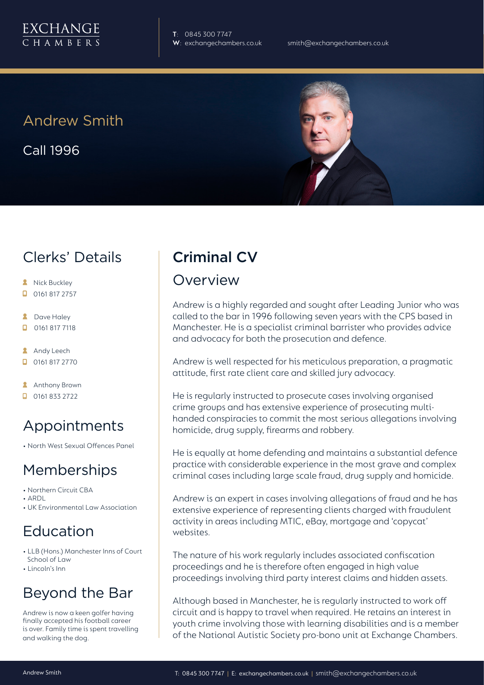

**T**: 0845 300 7747

## Andrew Smith

Call 1996



## Clerks' Details

- **A** Nick Buckley
- $\Box$  0161 817 2757
- **2** Dave Haley
- $\Box$ 0161 817 7118
- **Andy Leech**
- 0161 817 2770
- **Anthony Brown**
- $\Box$  0161 833 2722

# Appointments

• North West Sexual Offences Panel

## Memberships

- Northern Circuit CBA
- ARDL
- UK Environmental Law Association

# Education

- LLB (Hons.) Manchester Inns of Court School of Law
- Lincoln's Inn

# Beyond the Bar

Andrew is now a keen golfer having finally accepted his football career is over. Family time is spent travelling and walking the dog.

# Criminal CV

### Overview

Andrew is a highly regarded and sought after Leading Junior who was called to the bar in 1996 following seven years with the CPS based in Manchester. He is a specialist criminal barrister who provides advice and advocacy for both the prosecution and defence.

Andrew is well respected for his meticulous preparation, a pragmatic attitude, first rate client care and skilled jury advocacy.

He is regularly instructed to prosecute cases involving organised crime groups and has extensive experience of prosecuting multihanded conspiracies to commit the most serious allegations involving homicide, drug supply, firearms and robbery.

He is equally at home defending and maintains a substantial defence practice with considerable experience in the most grave and complex criminal cases including large scale fraud, drug supply and homicide.

Andrew is an expert in cases involving allegations of fraud and he has extensive experience of representing clients charged with fraudulent activity in areas including MTIC, eBay, mortgage and 'copycat' websites.

The nature of his work regularly includes associated confiscation proceedings and he is therefore often engaged in high value proceedings involving third party interest claims and hidden assets.

Although based in Manchester, he is regularly instructed to work off circuit and is happy to travel when required. He retains an interest in youth crime involving those with learning disabilities and is a member of the National Autistic Society pro-bono unit at Exchange Chambers.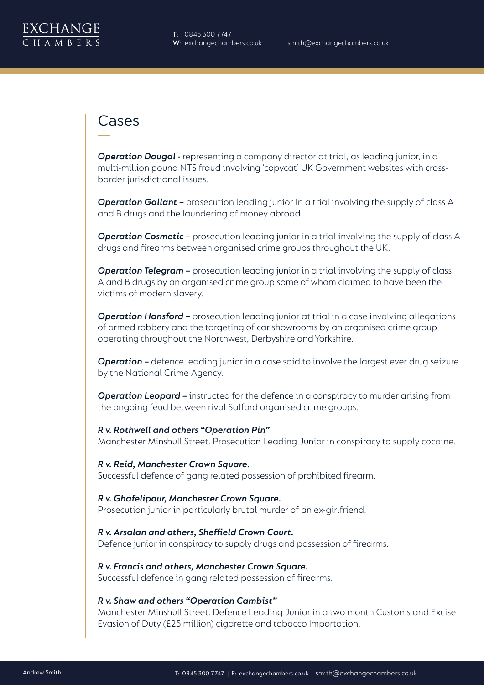

### Cases

**Operation Dougal -** representing a company director at trial, as leading junior, in a multi-million pound NTS fraud involving 'copycat' UK Government websites with crossborder jurisdictional issues.

**Operation Gallant –** prosecution leading junior in a trial involving the supply of class A and B drugs and the laundering of money abroad.

**Operation Cosmetic –** prosecution leading junior in a trial involving the supply of class A drugs and firearms between organised crime groups throughout the UK.

**Operation Telegram –** prosecution leading junior in a trial involving the supply of class A and B drugs by an organised crime group some of whom claimed to have been the victims of modern slavery.

**Operation Hansford -** prosecution leading junior at trial in a case involving allegations of armed robbery and the targeting of car showrooms by an organised crime group operating throughout the Northwest, Derbyshire and Yorkshire.

**Operation -** defence leading junior in a case said to involve the largest ever drug seizure by the National Crime Agency.

**Operation Leopard -** instructed for the defence in a conspiracy to murder arising from the ongoing feud between rival Salford organised crime groups.

*R v. Rothwell and others "Operation Pin"* Manchester Minshull Street. Prosecution Leading Junior in conspiracy to supply cocaine.

*R v. Reid, Manchester Crown Square.* Successful defence of gang related possession of prohibited firearm.

#### *R v. Ghafelipour, Manchester Crown Square.* Prosecution junior in particularly brutal murder of an ex-girlfriend.

*R v. Arsalan and others, Sheffield Crown Court.* Defence junior in conspiracy to supply drugs and possession of firearms.

*R v. Francis and others, Manchester Crown Square.* Successful defence in gang related possession of firearms.

#### *R v. Shaw and others "Operation Cambist"*

Manchester Minshull Street. Defence Leading Junior in a two month Customs and Excise Evasion of Duty (£25 million) cigarette and tobacco Importation.